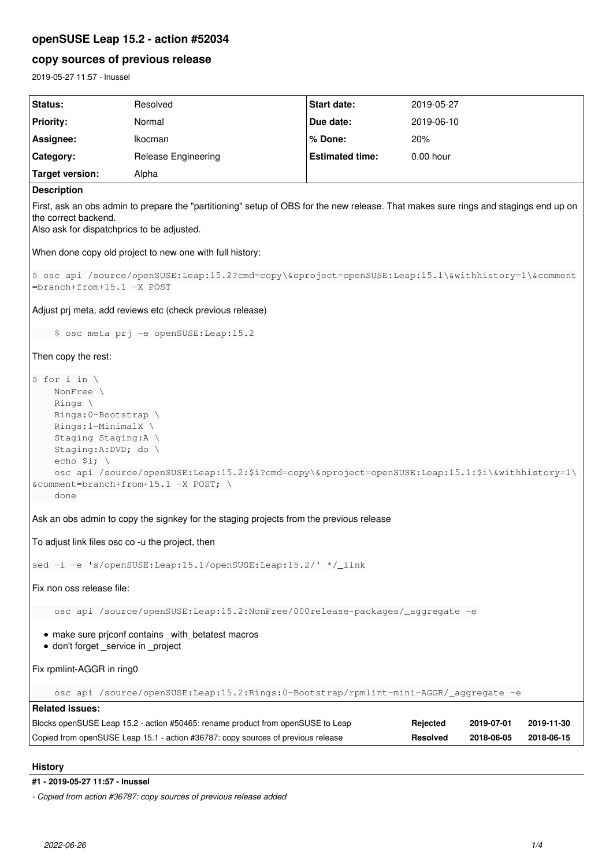# **openSUSE Leap 15.2 - action #52034**

# **copy sources of previous release**

2019-05-27 11:57 - lnussel

| Status:                                                                                                                                                                                                                                                                                                                   | Resolved                                                                         | <b>Start date:</b>     | 2019-05-27      |            |            |
|---------------------------------------------------------------------------------------------------------------------------------------------------------------------------------------------------------------------------------------------------------------------------------------------------------------------------|----------------------------------------------------------------------------------|------------------------|-----------------|------------|------------|
| <b>Priority:</b>                                                                                                                                                                                                                                                                                                          | Normal                                                                           | Due date:              | 2019-06-10      |            |            |
| Assignee:                                                                                                                                                                                                                                                                                                                 | Ikocman                                                                          | % Done:                | 20%             |            |            |
| Category:                                                                                                                                                                                                                                                                                                                 | Release Engineering                                                              | <b>Estimated time:</b> | 0.00 hour       |            |            |
| <b>Target version:</b>                                                                                                                                                                                                                                                                                                    | Alpha                                                                            |                        |                 |            |            |
| <b>Description</b>                                                                                                                                                                                                                                                                                                        |                                                                                  |                        |                 |            |            |
| First, ask an obs admin to prepare the "partitioning" setup of OBS for the new release. That makes sure rings and stagings end up on<br>the correct backend.<br>Also ask for dispatchprios to be adjusted.                                                                                                                |                                                                                  |                        |                 |            |            |
| When done copy old project to new one with full history:                                                                                                                                                                                                                                                                  |                                                                                  |                        |                 |            |            |
| \$ osc api /source/openSUSE:Leap:15.2?cmd=copy\&oproject=openSUSE:Leap:15.1\&withhistory=1\&comment<br>=branch+from+15.1 -X POST                                                                                                                                                                                          |                                                                                  |                        |                 |            |            |
| Adjust prj meta, add reviews etc (check previous release)                                                                                                                                                                                                                                                                 |                                                                                  |                        |                 |            |            |
| \$ osc meta prj -e openSUSE: Leap: 15.2                                                                                                                                                                                                                                                                                   |                                                                                  |                        |                 |            |            |
| Then copy the rest:                                                                                                                                                                                                                                                                                                       |                                                                                  |                        |                 |            |            |
| $$ for i in \setminus$<br>NonFree \<br>Rings \<br>Rings: 0-Bootstrap \<br>Rings: 1-MinimalX \<br>Staging Staging: A \<br>Staging:A:DVD; do \<br>echo $$i; \setminus$<br>osc api /source/openSUSE:Leap:15.2:\$i?cmd=copy\&oproject=openSUSE:Leap:15.1:\$i\&withhistory=1\<br>& comment=branch+from+15.1 -X POST; \<br>done |                                                                                  |                        |                 |            |            |
| Ask an obs admin to copy the signkey for the staging projects from the previous release                                                                                                                                                                                                                                   |                                                                                  |                        |                 |            |            |
| To adjust link files osc co -u the project, then                                                                                                                                                                                                                                                                          |                                                                                  |                        |                 |            |            |
| sed -i -e 's/openSUSE:Leap:15.1/openSUSE:Leap:15.2/' */_link                                                                                                                                                                                                                                                              |                                                                                  |                        |                 |            |            |
| Fix non oss release file:                                                                                                                                                                                                                                                                                                 |                                                                                  |                        |                 |            |            |
| osc api /source/openSUSE:Leap:15.2:NonFree/000release-packages/_aggregate -e                                                                                                                                                                                                                                              |                                                                                  |                        |                 |            |            |
| • make sure priconf contains _with_betatest macros<br>· don't forget_service in _project                                                                                                                                                                                                                                  |                                                                                  |                        |                 |            |            |
| Fix rpmlint-AGGR in ring0                                                                                                                                                                                                                                                                                                 |                                                                                  |                        |                 |            |            |
| osc api /source/openSUSE:Leap:15.2:Rings:0-Bootstrap/rpmlint-mini-AGGR/_aggregate -e                                                                                                                                                                                                                                      |                                                                                  |                        |                 |            |            |
| <b>Related issues:</b>                                                                                                                                                                                                                                                                                                    |                                                                                  |                        |                 |            |            |
|                                                                                                                                                                                                                                                                                                                           | Blocks openSUSE Leap 15.2 - action #50465: rename product from openSUSE to Leap  |                        | Rejected        | 2019-07-01 | 2019-11-30 |
|                                                                                                                                                                                                                                                                                                                           | Copied from openSUSE Leap 15.1 - action #36787: copy sources of previous release |                        | <b>Resolved</b> | 2018-06-05 | 2018-06-15 |

# **History**

# **#1 - 2019-05-27 11:57 - lnussel**

*- Copied from action #36787: copy sources of previous release added*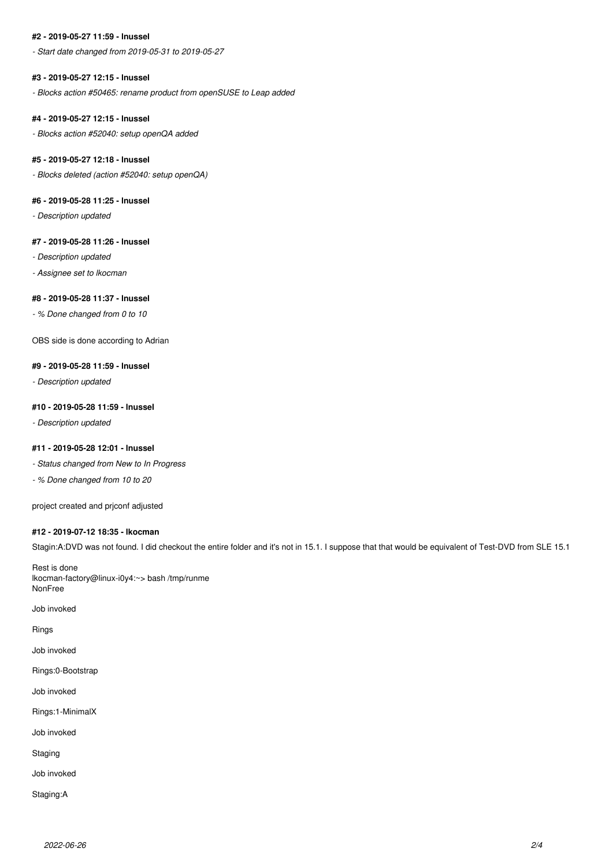# **#2 - 2019-05-27 11:59 - lnussel**

*- Start date changed from 2019-05-31 to 2019-05-27*

#### **#3 - 2019-05-27 12:15 - lnussel**

*- Blocks action #50465: rename product from openSUSE to Leap added*

#### **#4 - 2019-05-27 12:15 - lnussel**

*- Blocks action #52040: setup openQA added*

#### **#5 - 2019-05-27 12:18 - lnussel**

*- Blocks deleted (action #52040: setup openQA)*

### **#6 - 2019-05-28 11:25 - lnussel**

*- Description updated*

#### **#7 - 2019-05-28 11:26 - lnussel**

*- Description updated*

*- Assignee set to lkocman*

#### **#8 - 2019-05-28 11:37 - lnussel**

*- % Done changed from 0 to 10*

OBS side is done according to Adrian

#### **#9 - 2019-05-28 11:59 - lnussel**

*- Description updated*

#### **#10 - 2019-05-28 11:59 - lnussel**

*- Description updated*

#### **#11 - 2019-05-28 12:01 - lnussel**

*- Status changed from New to In Progress*

*- % Done changed from 10 to 20*

project created and prjconf adjusted

#### **#12 - 2019-07-12 18:35 - lkocman**

Stagin:A:DVD was not found. I did checkout the entire folder and it's not in 15.1. I suppose that that would be equivalent of Test-DVD from SLE 15.1

Rest is done lkocman-factory@linux-i0y4:~> bash /tmp/runme NonFree

Job invoked

Rings

Job invoked

Rings:0-Bootstrap

Job invoked

Rings:1-MinimalX

Job invoked

Staging

Job invoked

Staging:A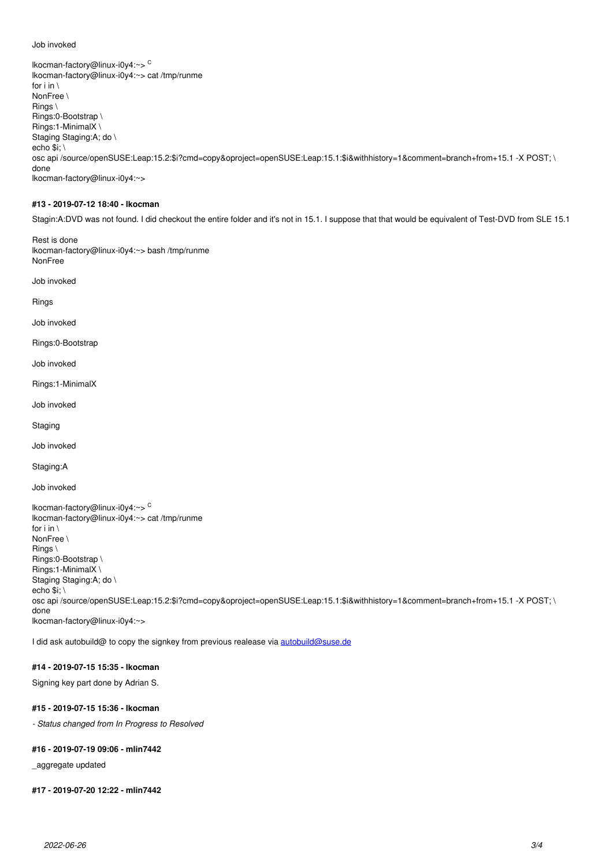#### Job invoked

lkocman-factory@linux-i0y4:~> <sup>C</sup> lkocman-factory@linux-i0y4:~> cat /tmp/runme for i in  $\setminus$ NonFree \ Rings \ Rings:0-Bootstrap \ Rings:1-MinimalX \ Staging Staging:A; do \ echo \$i; \ osc api /source/openSUSE:Leap:15.2:\$i?cmd=copy&oproject=openSUSE:Leap:15.1:\$i&withhistory=1&comment=branch+from+15.1 -X POST; \ done lkocman-factory@linux-i0y4:~>

#### **#13 - 2019-07-12 18:40 - lkocman**

Stagin:A:DVD was not found. I did checkout the entire folder and it's not in 15.1. I suppose that that would be equivalent of Test-DVD from SLE 15.1

Rest is done lkocman-factory@linux-i0y4:~> bash /tmp/runme NonFree

Job invoked

Rings

Job invoked

Rings:0-Bootstrap

Job invoked

Rings:1-MinimalX

Job invoked

**Staging** 

Job invoked

Staging:A

Job invoked

lkocman-factory@linux-i0y4:~> <sup>C</sup> lkocman-factory@linux-i0y4:~> cat /tmp/runme for i in  $\setminus$ NonFree \ Rings \ Rings:0-Bootstrap \ Rings:1-MinimalX \ Staging Staging:A; do \ echo  $\overline{\text{Si}}$ : \ osc api /source/openSUSE:Leap:15.2:\$i?cmd=copy&oproject=openSUSE:Leap:15.1:\$i&withhistory=1&comment=branch+from+15.1 -X POST; \ done lkocman-factory@linux-i0y4:~>

I did ask autobuild@ to copy the signkey from previous realease via [autobuild@suse.de](mailto:autobuild@suse.de)

## **#14 - 2019-07-15 15:35 - lkocman**

Signing key part done by Adrian S.

#### **#15 - 2019-07-15 15:36 - lkocman**

*- Status changed from In Progress to Resolved*

#### **#16 - 2019-07-19 09:06 - mlin7442**

\_aggregate updated

**#17 - 2019-07-20 12:22 - mlin7442**